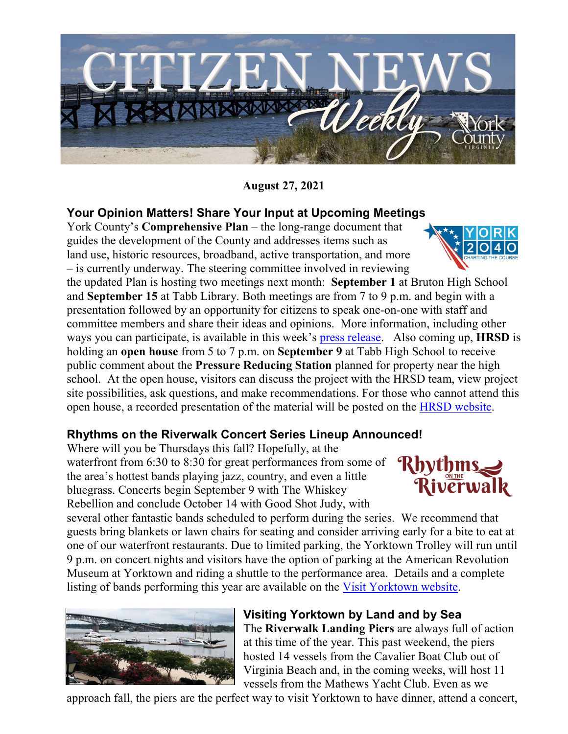

**August 27, 2021**

## **Your Opinion Matters! Share Your Input at Upcoming Meeting[s](https://www.yorkcounty.gov/1965/York-2040---Charting-the-Course)**

York County's **Comprehensive Plan** – the long-range document that guides the development of the County and addresses items such as land use, historic resources, broadband, active transportation, and more – is currently underway. The steering committee involved in reviewing

the updated Plan is hosting two meetings next month: **September 1** at Bruton High School and **September 15** at Tabb Library. Both meetings are from 7 to 9 p.m. and begin with a presentation followed by an opportunity for citizens to speak one-on-one with staff and committee members and share their ideas and opinions. More information, including other ways you can participate, is available in this week's [press release.](https://www.yorkcounty.gov/DocumentCenter/View/34494/Comprehensive-Plan-Review-Committee-Seeks-Your-Input---Two-meetings-on-land-use-are-planned-over-the-next-few-weeks) Also coming up, **HRSD** is holding an **open house** from 5 to 7 p.m. on **September 9** at Tabb High School to receive public comment about the **Pressure Reducing Station** planned for property near the high school. At the open house, visitors can discuss the project with the HRSD team, view project site possibilities, ask questions, and make recommendations. For those who cannot attend this open house, a recorded presentation of the material will be posted on the [HRSD website.](https://www.hrsd.com/)

## **Rhythms on the Riverwalk Concert Series Lineup Announced!**

Where will you be Thursdays this fall? Hopefully, at the waterfront from 6:30 to 8:30 for great performances from some of the area's hottest bands playing jazz, country, and even a little bluegrass. Concerts begin September 9 with The Whiskey Rebellion and conclude October 14 with Good Shot Judy, with

several other fantastic bands scheduled to perform during the series. We recommend that guests bring blankets or lawn chairs for seating and consider arriving early for a bite to eat at one of our waterfront restaurants. Due to limited parking, the Yorktown Trolley will run until 9 p.m. on concert nights and visitors have the option of parking at the American Revolution Museum at Yorktown and riding a shuttle to the performance area. Details and a complete listing of bands performing this year are available on the [Visit Yorktown website.](https://www.visityorktown.org/)



**Visiting Yorktown by Land and by Sea** The **Riverwalk Landing Piers** are always full of action at this time of the year. This past weekend, the piers hosted 14 vessels from the Cavalier Boat Club out of Virginia Beach and, in the coming weeks, will host 11 vessels from the Mathews Yacht Club. Even as we

approach fall, the piers are the perfect way to visit Yorktown to have dinner, attend a concert,